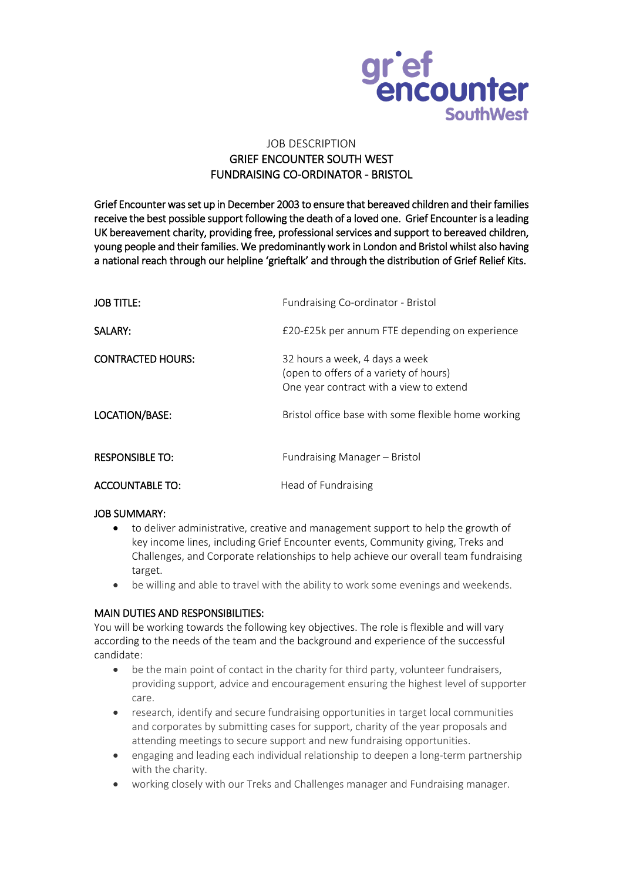

# JOB DESCRIPTION GRIEF ENCOUNTER SOUTH WEST FUNDRAISING CO-ORDINATOR - BRISTOL

Grief Encounter was set up in December 2003 to ensure that bereaved children and their families receive the best possible support following the death of a loved one. Grief Encounter is a leading UK bereavement charity, providing free, professional services and support to bereaved children, young people and their families. We predominantly work in London and Bristol whilst also having a national reach through our helpline 'grieftalk' and through the distribution of Grief Relief Kits.

| <b>JOB TITLE:</b>        | Fundraising Co-ordinator - Bristol                                                                                  |
|--------------------------|---------------------------------------------------------------------------------------------------------------------|
| SALARY:                  | £20-£25k per annum FTE depending on experience                                                                      |
| <b>CONTRACTED HOURS:</b> | 32 hours a week, 4 days a week<br>(open to offers of a variety of hours)<br>One year contract with a view to extend |
| LOCATION/BASE:           | Bristol office base with some flexible home working                                                                 |
| <b>RESPONSIBLE TO:</b>   | Fundraising Manager – Bristol                                                                                       |
| <b>ACCOUNTABLE TO:</b>   | Head of Fundraising                                                                                                 |

#### JOB SUMMARY:

- to deliver administrative, creative and management support to help the growth of key income lines, including Grief Encounter events, Community giving, Treks and Challenges, and Corporate relationships to help achieve our overall team fundraising target.
- be willing and able to travel with the ability to work some evenings and weekends.

# MAIN DUTIES AND RESPONSIBILITIES:

You will be working towards the following key objectives. The role is flexible and will vary according to the needs of the team and the background and experience of the successful candidate:

- be the main point of contact in the charity for third party, volunteer fundraisers, providing support, advice and encouragement ensuring the highest level of supporter care.
- research, identify and secure fundraising opportunities in target local communities and corporates by submitting cases for support, charity of the year proposals and attending meetings to secure support and new fundraising opportunities.
- engaging and leading each individual relationship to deepen a long-term partnership with the charity.
- working closely with our Treks and Challenges manager and Fundraising manager.